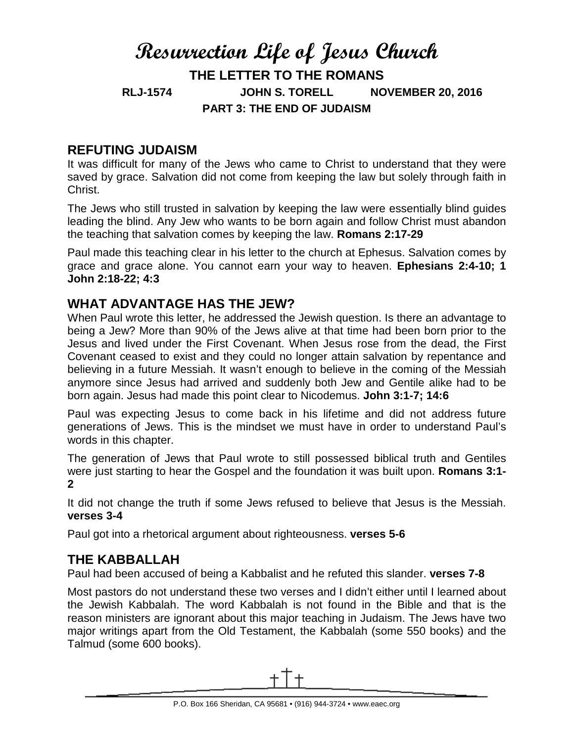# **Resurrection Life of Jesus Church THE LETTER TO THE ROMANS RLJ-1574 JOHN S. TORELL NOVEMBER 20, 2016 PART 3: THE END OF JUDAISM**

# **REFUTING JUDAISM**

It was difficult for many of the Jews who came to Christ to understand that they were saved by grace. Salvation did not come from keeping the law but solely through faith in Christ.

The Jews who still trusted in salvation by keeping the law were essentially blind guides leading the blind. Any Jew who wants to be born again and follow Christ must abandon the teaching that salvation comes by keeping the law. **Romans 2:17-29**

Paul made this teaching clear in his letter to the church at Ephesus. Salvation comes by grace and grace alone. You cannot earn your way to heaven. **Ephesians 2:4-10; 1 John 2:18-22; 4:3**

# **WHAT ADVANTAGE HAS THE JEW?**

When Paul wrote this letter, he addressed the Jewish question. Is there an advantage to being a Jew? More than 90% of the Jews alive at that time had been born prior to the Jesus and lived under the First Covenant. When Jesus rose from the dead, the First Covenant ceased to exist and they could no longer attain salvation by repentance and believing in a future Messiah. It wasn't enough to believe in the coming of the Messiah anymore since Jesus had arrived and suddenly both Jew and Gentile alike had to be born again. Jesus had made this point clear to Nicodemus. **John 3:1-7; 14:6**

Paul was expecting Jesus to come back in his lifetime and did not address future generations of Jews. This is the mindset we must have in order to understand Paul's words in this chapter.

The generation of Jews that Paul wrote to still possessed biblical truth and Gentiles were just starting to hear the Gospel and the foundation it was built upon. **Romans 3:1- 2**

It did not change the truth if some Jews refused to believe that Jesus is the Messiah. **verses 3-4**

Paul got into a rhetorical argument about righteousness. **verses 5-6**

# **THE KABBALLAH**

Paul had been accused of being a Kabbalist and he refuted this slander. **verses 7-8**

Most pastors do not understand these two verses and I didn't either until I learned about the Jewish Kabbalah. The word Kabbalah is not found in the Bible and that is the reason ministers are ignorant about this major teaching in Judaism. The Jews have two major writings apart from the Old Testament, the Kabbalah (some 550 books) and the Talmud (some 600 books).